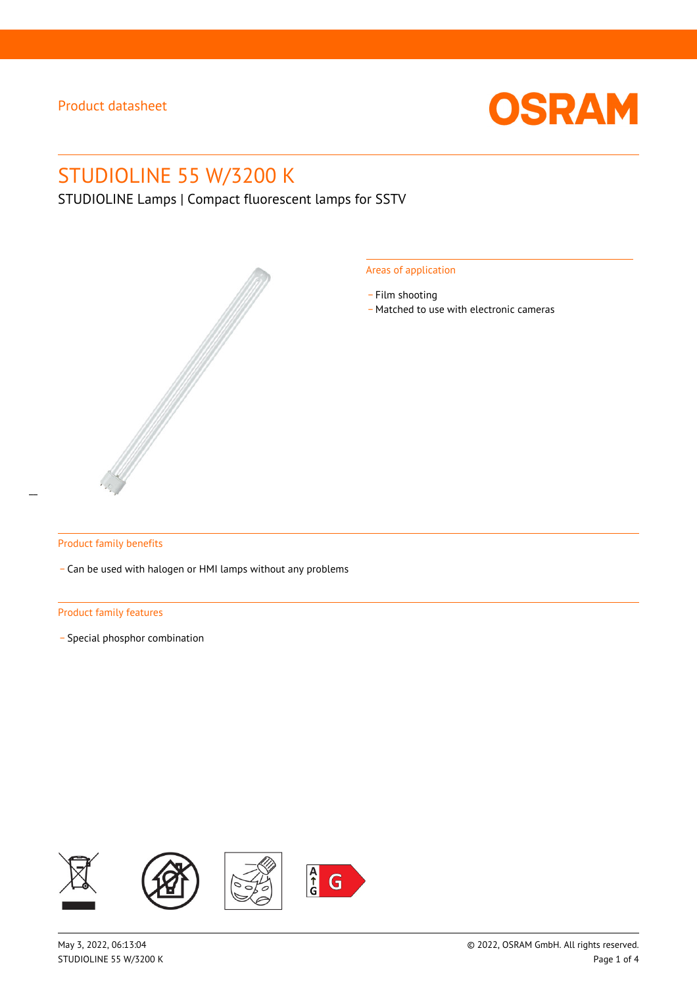

# STUDIOLINE 55 W/3200 K

STUDIOLINE Lamps | Compact fluorescent lamps for SSTV



#### Areas of application

- Film shooting
- \_ Matched to use with electronic cameras

#### Product family benefits

\_ Can be used with halogen or HMI lamps without any problems

#### Product family features

\_ Special phosphor combination

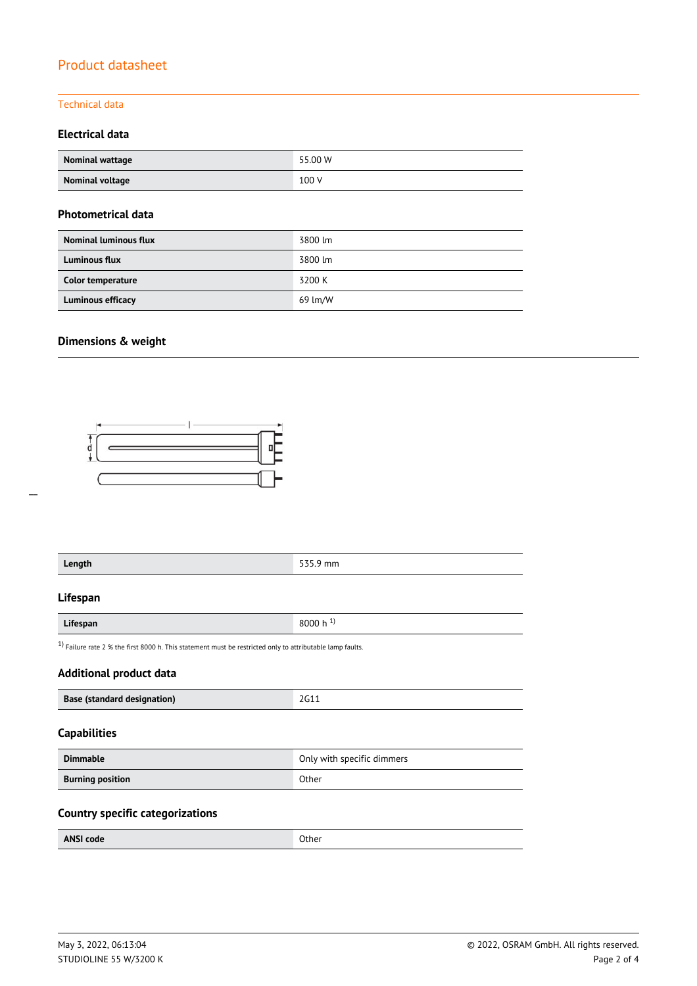### Technical data

### **Electrical data**

| Nominal wattage | 55.00 W |
|-----------------|---------|
| Nominal voltage | 100 V   |

### **Photometrical data**

| <b>Nominal luminous flux</b> | 3800 lm |
|------------------------------|---------|
| <b>Luminous flux</b>         | 3800 lm |
| Color temperature            | 3200 K  |
| Luminous efficacy            | 69 lm/W |

### **Dimensions & weight**



| 535.9 mm                                                                                                     |  |  |  |  |
|--------------------------------------------------------------------------------------------------------------|--|--|--|--|
|                                                                                                              |  |  |  |  |
| 8000 h $^{1}$ )                                                                                              |  |  |  |  |
| $1$ ) Failure rate 2 % the first 8000 h. This statement must be restricted only to attributable lamp faults. |  |  |  |  |
| <b>Additional product data</b>                                                                               |  |  |  |  |
| 2G11                                                                                                         |  |  |  |  |
|                                                                                                              |  |  |  |  |
| Only with specific dimmers                                                                                   |  |  |  |  |
|                                                                                                              |  |  |  |  |
|                                                                                                              |  |  |  |  |

### **Country specific categorizations**

| ----- | <b>ANSI code</b><br>Other |
|-------|---------------------------|
|-------|---------------------------|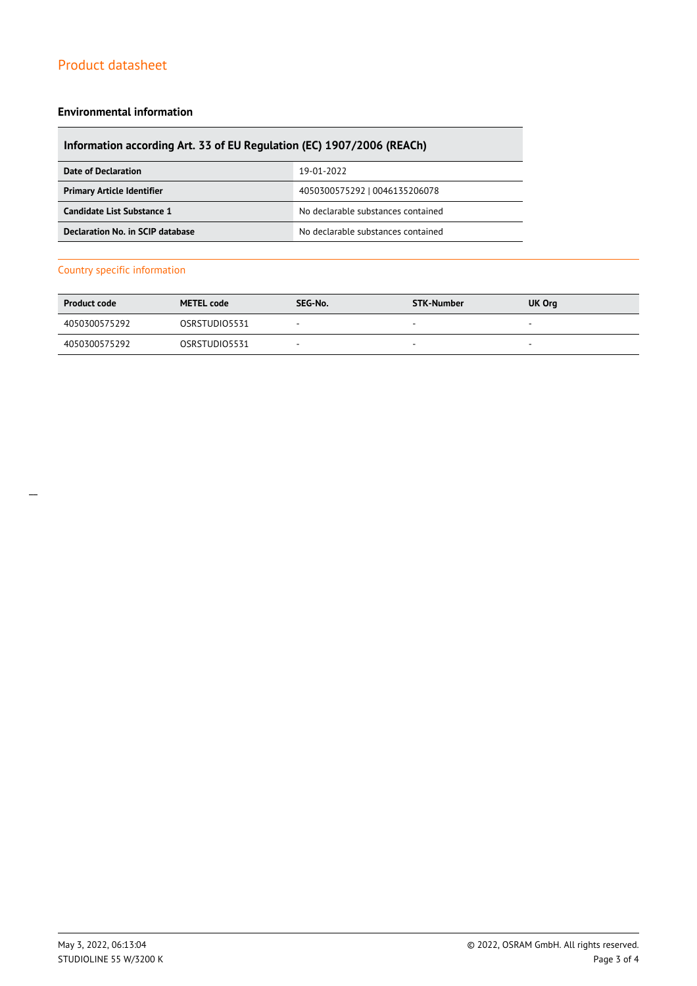#### **Environmental information**

### **Information according Art. 33 of EU Regulation (EC) 1907/2006 (REACh)**

| Date of Declaration               | 19-01-2022                         |  |
|-----------------------------------|------------------------------------|--|
| <b>Primary Article Identifier</b> | 4050300575292   0046135206078      |  |
| Candidate List Substance 1        | No declarable substances contained |  |
| Declaration No. in SCIP database  | No declarable substances contained |  |

#### Country specific information

| <b>Product code</b> | <b>METEL code</b> | SEG-No.                  | STK-Number | <b>UK Org</b>            |
|---------------------|-------------------|--------------------------|------------|--------------------------|
| 4050300575292       | OSRSTUDIO5531     | $\overline{\phantom{a}}$ | <b>м.</b>  | $\overline{\phantom{a}}$ |
| 4050300575292       | OSRSTUDIO5531     |                          |            | -                        |